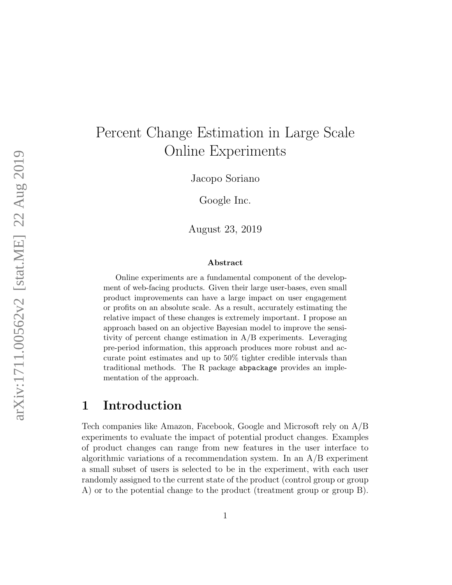# Percent Change Estimation in Large Scale Online Experiments

Jacopo Soriano

Google Inc.

August 23, 2019

#### Abstract

Online experiments are a fundamental component of the development of web-facing products. Given their large user-bases, even small product improvements can have a large impact on user engagement or profits on an absolute scale. As a result, accurately estimating the relative impact of these changes is extremely important. I propose an approach based on an objective Bayesian model to improve the sensitivity of percent change estimation in A/B experiments. Leveraging pre-period information, this approach produces more robust and accurate point estimates and up to 50% tighter credible intervals than traditional methods. The R package abpackage provides an implementation of the approach.

# 1 Introduction

Tech companies like Amazon, Facebook, Google and Microsoft rely on A/B experiments to evaluate the impact of potential product changes. Examples of product changes can range from new features in the user interface to algorithmic variations of a recommendation system. In an A/B experiment a small subset of users is selected to be in the experiment, with each user randomly assigned to the current state of the product (control group or group A) or to the potential change to the product (treatment group or group B).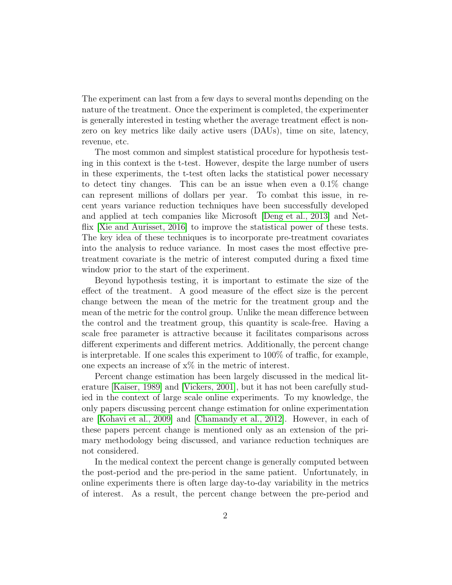The experiment can last from a few days to several months depending on the nature of the treatment. Once the experiment is completed, the experimenter is generally interested in testing whether the average treatment effect is nonzero on key metrics like daily active users (DAUs), time on site, latency, revenue, etc.

The most common and simplest statistical procedure for hypothesis testing in this context is the t-test. However, despite the large number of users in these experiments, the t-test often lacks the statistical power necessary to detect tiny changes. This can be an issue when even a 0.1% change can represent millions of dollars per year. To combat this issue, in recent years variance reduction techniques have been successfully developed and applied at tech companies like Microsoft [\[Deng et al., 2013\]](#page-21-0) and Net-flix [\[Xie and Aurisset, 2016\]](#page-22-0) to improve the statistical power of these tests. The key idea of these techniques is to incorporate pre-treatment covariates into the analysis to reduce variance. In most cases the most effective pretreatment covariate is the metric of interest computed during a fixed time window prior to the start of the experiment.

Beyond hypothesis testing, it is important to estimate the size of the effect of the treatment. A good measure of the effect size is the percent change between the mean of the metric for the treatment group and the mean of the metric for the control group. Unlike the mean difference between the control and the treatment group, this quantity is scale-free. Having a scale free parameter is attractive because it facilitates comparisons across different experiments and different metrics. Additionally, the percent change is interpretable. If one scales this experiment to 100% of traffic, for example, one expects an increase of x% in the metric of interest.

Percent change estimation has been largely discussed in the medical literature [\[Kaiser, 1989\]](#page-21-1) and [\[Vickers, 2001\]](#page-22-1), but it has not been carefully studied in the context of large scale online experiments. To my knowledge, the only papers discussing percent change estimation for online experimentation are [\[Kohavi et al., 2009\]](#page-21-2) and [\[Chamandy et al., 2012\]](#page-21-3). However, in each of these papers percent change is mentioned only as an extension of the primary methodology being discussed, and variance reduction techniques are not considered.

In the medical context the percent change is generally computed between the post-period and the pre-period in the same patient. Unfortunately, in online experiments there is often large day-to-day variability in the metrics of interest. As a result, the percent change between the pre-period and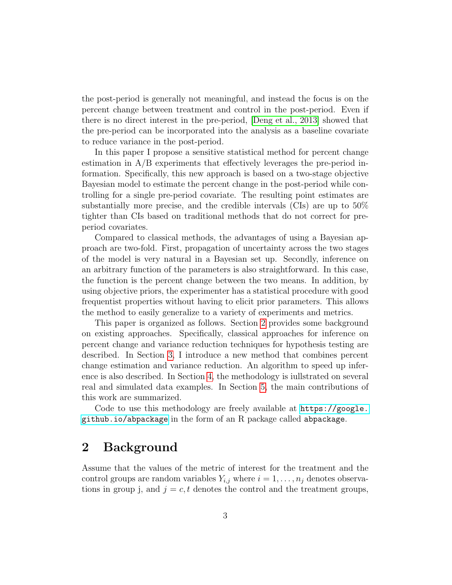the post-period is generally not meaningful, and instead the focus is on the percent change between treatment and control in the post-period. Even if there is no direct interest in the pre-period, [\[Deng et al., 2013\]](#page-21-0) showed that the pre-period can be incorporated into the analysis as a baseline covariate to reduce variance in the post-period.

In this paper I propose a sensitive statistical method for percent change estimation in A/B experiments that effectively leverages the pre-period information. Specifically, this new approach is based on a two-stage objective Bayesian model to estimate the percent change in the post-period while controlling for a single pre-period covariate. The resulting point estimates are substantially more precise, and the credible intervals (CIs) are up to 50% tighter than CIs based on traditional methods that do not correct for preperiod covariates.

Compared to classical methods, the advantages of using a Bayesian approach are two-fold. First, propagation of uncertainty across the two stages of the model is very natural in a Bayesian set up. Secondly, inference on an arbitrary function of the parameters is also straightforward. In this case, the function is the percent change between the two means. In addition, by using objective priors, the experimenter has a statistical procedure with good frequentist properties without having to elicit prior parameters. This allows the method to easily generalize to a variety of experiments and metrics.

This paper is organized as follows. Section [2](#page-2-0) provides some background on existing approaches. Specifically, classical approaches for inference on percent change and variance reduction techniques for hypothesis testing are described. In Section [3,](#page-6-0) I introduce a new method that combines percent change estimation and variance reduction. An algorithm to speed up inference is also described. In Section [4,](#page-10-0) the methodology is iullstrated on several real and simulated data examples. In Section [5,](#page-19-0) the main contributions of this work are summarized.

Code to use this methodology are freely available at [https://google.](https://google.github.io/abpackage) [github.io/abpackage](https://google.github.io/abpackage) in the form of an R package called abpackage.

# <span id="page-2-0"></span>2 Background

Assume that the values of the metric of interest for the treatment and the control groups are random variables  $Y_{i,j}$  where  $i = 1, \ldots, n_j$  denotes observations in group j, and  $j = c, t$  denotes the control and the treatment groups,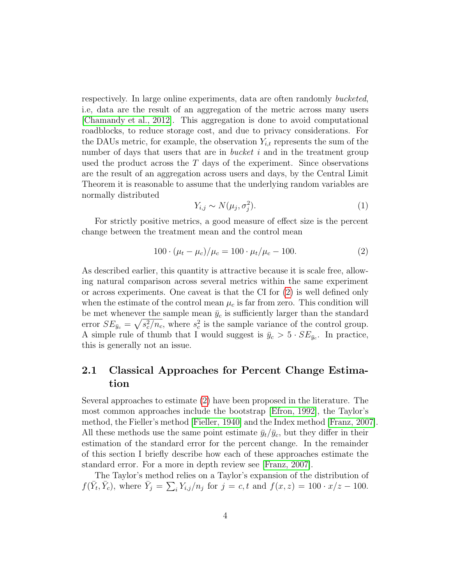respectively. In large online experiments, data are often randomly bucketed, i.e, data are the result of an aggregation of the metric across many users [\[Chamandy et al., 2012\]](#page-21-3). This aggregation is done to avoid computational roadblocks, to reduce storage cost, and due to privacy considerations. For the DAUs metric, for example, the observation  $Y_{i,t}$  represents the sum of the number of days that users that are in *bucket i* and in the treatment group used the product across the  $T$  days of the experiment. Since observations are the result of an aggregation across users and days, by the Central Limit Theorem it is reasonable to assume that the underlying random variables are normally distributed

<span id="page-3-2"></span>
$$
Y_{i,j} \sim N(\mu_j, \sigma_j^2). \tag{1}
$$

For strictly positive metrics, a good measure of effect size is the percent change between the treatment mean and the control mean

<span id="page-3-0"></span>
$$
100 \cdot (\mu_t - \mu_c) / \mu_c = 100 \cdot \mu_t / \mu_c - 100. \tag{2}
$$

As described earlier, this quantity is attractive because it is scale free, allowing natural comparison across several metrics within the same experiment or across experiments. One caveat is that the CI for [\(2\)](#page-3-0) is well defined only when the estimate of the control mean  $\mu_c$  is far from zero. This condition will be met whenever the sample mean  $\bar{y}_c$  is sufficiently larger than the standard error  $SE_{\bar{y}_c} = \sqrt{s_c^2/n_c}$ , where  $s_c^2$  is the sample variance of the control group. A simple rule of thumb that I would suggest is  $\bar{y}_c > 5 \cdot SE_{\bar{y}_c}$ . In practice, this is generally not an issue.

### <span id="page-3-1"></span>2.1 Classical Approaches for Percent Change Estimation

Several approaches to estimate [\(2\)](#page-3-0) have been proposed in the literature. The most common approaches include the bootstrap [\[Efron, 1992\]](#page-21-4), the Taylor's method, the Fieller's method [\[Fieller, 1940\]](#page-21-5) and the Index method [\[Franz, 2007\]](#page-21-6). All these methods use the same point estimate  $\bar{y}_t/\bar{y}_c$ , but they differ in their estimation of the standard error for the percent change. In the remainder of this section I briefly describe how each of these approaches estimate the standard error. For a more in depth review see [\[Franz, 2007\]](#page-21-6).

The Taylor's method relies on a Taylor's expansion of the distribution of  $f(\bar{Y}_t, \bar{Y}_c)$ , where  $\bar{Y}_j = \sum_i Y_{i,j}/n_j$  for  $j = c, t$  and  $f(x, z) = 100 \cdot x/z - 100$ .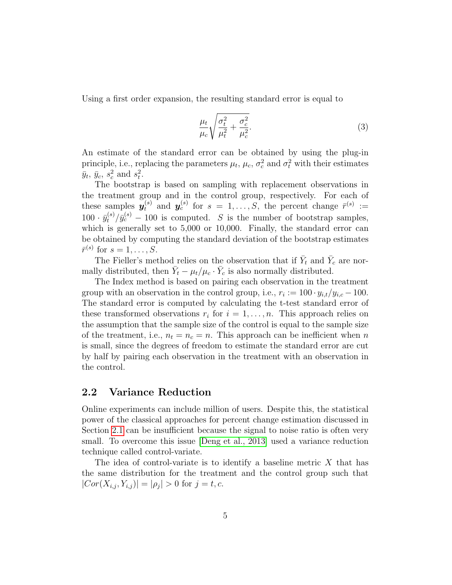Using a first order expansion, the resulting standard error is equal to

<span id="page-4-1"></span>
$$
\frac{\mu_t}{\mu_c} \sqrt{\frac{\sigma_t^2}{\mu_t^2} + \frac{\sigma_c^2}{\mu_c^2}}.
$$
\n(3)

An estimate of the standard error can be obtained by using the plug-in principle, i.e., replacing the parameters  $\mu_t$ ,  $\mu_c$ ,  $\sigma_c^2$  and  $\sigma_t^2$  with their estimates  $\bar{y}_t$ ,  $\bar{y}_c$ ,  $s_c^2$  and  $s_t^2$ .

The bootstrap is based on sampling with replacement observations in the treatment group and in the control group, respectively. For each of these samples  $y_t^{(s)}$  and  $y_c^{(s)}$  for  $s = 1, \ldots, S$ , the percent change  $\bar{r}^{(s)} :=$  $100 \cdot \bar{y}_t^{(s)} / \bar{y}_c^{(s)} - 100$  is computed. S is the number of bootstrap samples, which is generally set to 5,000 or 10,000. Finally, the standard error can be obtained by computing the standard deviation of the bootstrap estimates  $\bar{r}^{(s)}$  for  $s=1,\ldots,S$ .

The Fieller's method relies on the observation that if  $\bar{Y}_t$  and  $\bar{Y}_c$  are normally distributed, then  $\bar{Y}_t - \mu_t/\mu_c \cdot \bar{Y}_c$  is also normally distributed.

The Index method is based on pairing each observation in the treatment group with an observation in the control group, i.e.,  $r_i := 100 \cdot y_{i,t}/y_{i,c} - 100$ . The standard error is computed by calculating the t-test standard error of these transformed observations  $r_i$  for  $i = 1, \ldots, n$ . This approach relies on the assumption that the sample size of the control is equal to the sample size of the treatment, i.e.,  $n_t = n_c = n$ . This approach can be inefficient when n is small, since the degrees of freedom to estimate the standard error are cut by half by pairing each observation in the treatment with an observation in the control.

### <span id="page-4-0"></span>2.2 Variance Reduction

Online experiments can include million of users. Despite this, the statistical power of the classical approaches for percent change estimation discussed in Section [2.1](#page-3-1) can be insufficient because the signal to noise ratio is often very small. To overcome this issue [\[Deng et al., 2013\]](#page-21-0) used a variance reduction technique called control-variate.

The idea of control-variate is to identify a baseline metric  $X$  that has the same distribution for the treatment and the control group such that  $|Cor(X_{i,j}, Y_{i,j})| = |\rho_j| > 0$  for  $j = t, c$ .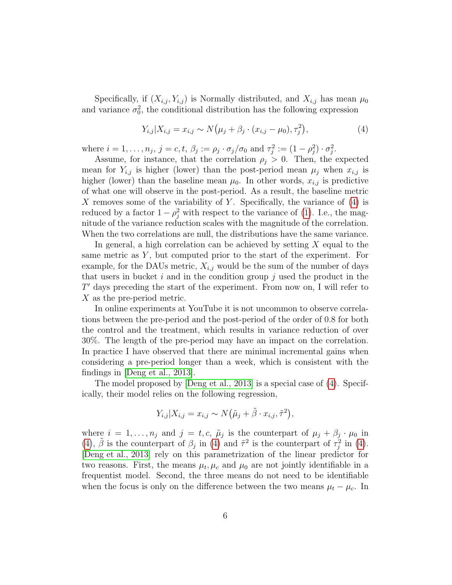Specifically, if  $(X_{i,j}, Y_{i,j})$  is Normally distributed, and  $X_{i,j}$  has mean  $\mu_0$ and variance  $\sigma_0^2$ , the conditional distribution has the following expression

<span id="page-5-0"></span>
$$
Y_{i,j}|X_{i,j} = x_{i,j} \sim N(\mu_j + \beta_j \cdot (x_{i,j} - \mu_0), \tau_j^2), \tag{4}
$$

where  $i = 1, \ldots, n_j$ ,  $j = c, t, \beta_j := \rho_j \cdot \sigma_j / \sigma_0$  and  $\tau_j^2 := (1 - \rho_j^2) \cdot \sigma_j^2$ .

Assume, for instance, that the correlation  $\rho_i > 0$ . Then, the expected mean for  $Y_{i,j}$  is higher (lower) than the post-period mean  $\mu_j$  when  $x_{i,j}$  is higher (lower) than the baseline mean  $\mu_0$ . In other words,  $x_{i,j}$  is predictive of what one will observe in the post-period. As a result, the baseline metric X removes some of the variability of Y. Specifically, the variance of  $(4)$  is reduced by a factor  $1 - \rho_j^2$  with respect to the variance of [\(1\)](#page-3-2). I.e., the magnitude of the variance reduction scales with the magnitude of the correlation. When the two correlations are null, the distributions have the same variance.

In general, a high correlation can be achieved by setting  $X$  equal to the same metric as  $Y$ , but computed prior to the start of the experiment. For example, for the DAUs metric,  $X_{i,j}$  would be the sum of the number of days that users in bucket i and in the condition group  $j$  used the product in the  $T'$  days preceding the start of the experiment. From now on, I will refer to X as the pre-period metric.

In online experiments at YouTube it is not uncommon to observe correlations between the pre-period and the post-period of the order of 0.8 for both the control and the treatment, which results in variance reduction of over 30%. The length of the pre-period may have an impact on the correlation. In practice I have observed that there are minimal incremental gains when considering a pre-period longer than a week, which is consistent with the findings in [\[Deng et al., 2013\]](#page-21-0).

The model proposed by [\[Deng et al., 2013\]](#page-21-0) is a special case of [\(4\)](#page-5-0). Specifically, their model relies on the following regression,

$$
Y_{i,j}|X_{i,j} = x_{i,j} \sim N(\tilde{\mu}_j + \tilde{\beta} \cdot x_{i,j}, \tilde{\tau}^2),
$$

where  $i = 1, \ldots, n_j$  and  $j = t, c, \tilde{\mu}_j$  is the counterpart of  $\mu_j + \beta_j \cdot \mu_0$  in [\(4\)](#page-5-0),  $\tilde{\beta}$  is the counterpart of  $\beta_j$  in (4) and  $\tilde{\tau}^2$  is the counterpart of  $\tau_j^2$  in (4). [\[Deng et al., 2013\]](#page-21-0) rely on this parametrization of the linear predictor for two reasons. First, the means  $\mu_t, \mu_c$  and  $\mu_0$  are not jointly identifiable in a frequentist model. Second, the three means do not need to be identifiable when the focus is only on the difference between the two means  $\mu_t - \mu_c$ . In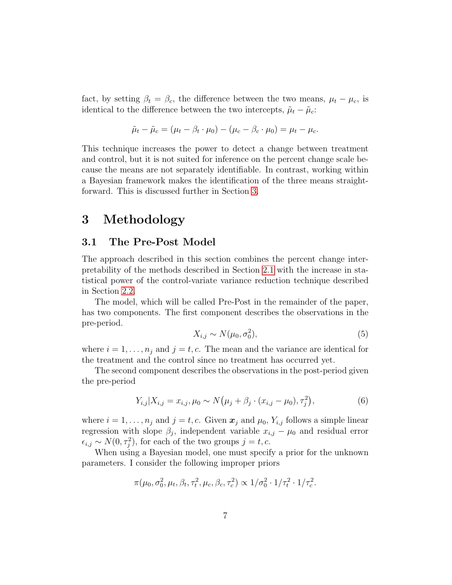fact, by setting  $\beta_t = \beta_c$ , the difference between the two means,  $\mu_t - \mu_c$ , is identical to the difference between the two intercepts,  $\tilde{\mu}_t - \tilde{\mu}_c$ :

$$
\tilde{\mu}_t - \tilde{\mu}_c = (\mu_t - \beta_t \cdot \mu_0) - (\mu_c - \beta_c \cdot \mu_0) = \mu_t - \mu_c.
$$

This technique increases the power to detect a change between treatment and control, but it is not suited for inference on the percent change scale because the means are not separately identifiable. In contrast, working within a Bayesian framework makes the identification of the three means straightforward. This is discussed further in Section [3.](#page-6-0)

### <span id="page-6-0"></span>3 Methodology

### 3.1 The Pre-Post Model

The approach described in this section combines the percent change interpretability of the methods described in Section [2.1](#page-3-1) with the increase in statistical power of the control-variate variance reduction technique described in Section [2.2.](#page-4-0)

The model, which will be called Pre-Post in the remainder of the paper, has two components. The first component describes the observations in the pre-period.

<span id="page-6-2"></span>
$$
X_{i,j} \sim N(\mu_0, \sigma_0^2),\tag{5}
$$

where  $i = 1, \ldots, n_j$  and  $j = t, c$ . The mean and the variance are identical for the treatment and the control since no treatment has occurred yet.

The second component describes the observations in the post-period given the pre-period

<span id="page-6-1"></span>
$$
Y_{i,j}|X_{i,j} = x_{i,j}, \mu_0 \sim N(\mu_j + \beta_j \cdot (x_{i,j} - \mu_0), \tau_j^2),
$$
\n(6)

where  $i = 1, \ldots, n_j$  and  $j = t, c$ . Given  $\mathbf{x}_j$  and  $\mu_0$ ,  $Y_{i,j}$  follows a simple linear regression with slope  $\beta_j$ , independent variable  $x_{i,j} - \mu_0$  and residual error  $\epsilon_{i,j} \sim N(0, \tau_j^2)$ , for each of the two groups  $j = t, c$ .

When using a Bayesian model, one must specify a prior for the unknown parameters. I consider the following improper priors

$$
\pi(\mu_0, \sigma_0^2, \mu_t, \beta_t, \tau_t^2, \mu_c, \beta_c, \tau_c^2) \propto 1/\sigma_0^2 \cdot 1/\tau_t^2 \cdot 1/\tau_c^2.
$$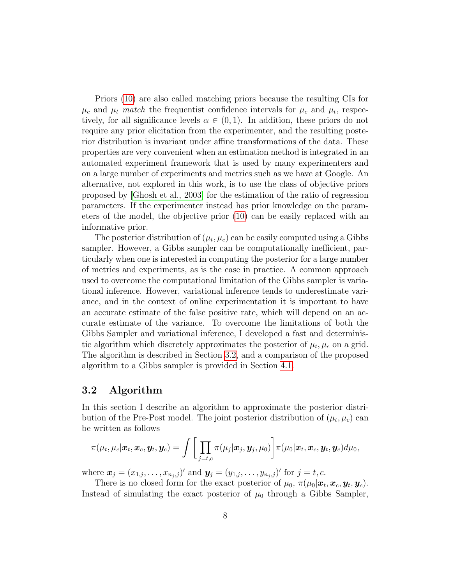Priors [\(10\)](#page-14-0) are also called matching priors because the resulting CIs for  $\mu_c$  and  $\mu_t$  match the frequentist confidence intervals for  $\mu_c$  and  $\mu_t$ , respectively, for all significance levels  $\alpha \in (0,1)$ . In addition, these priors do not require any prior elicitation from the experimenter, and the resulting posterior distribution is invariant under affine transformations of the data. These properties are very convenient when an estimation method is integrated in an automated experiment framework that is used by many experimenters and on a large number of experiments and metrics such as we have at Google. An alternative, not explored in this work, is to use the class of objective priors proposed by [\[Ghosh et al., 2003\]](#page-21-7) for the estimation of the ratio of regression parameters. If the experimenter instead has prior knowledge on the parameters of the model, the objective prior [\(10\)](#page-14-0) can be easily replaced with an informative prior.

The posterior distribution of  $(\mu_t, \mu_c)$  can be easily computed using a Gibbs sampler. However, a Gibbs sampler can be computationally inefficient, particularly when one is interested in computing the posterior for a large number of metrics and experiments, as is the case in practice. A common approach used to overcome the computational limitation of the Gibbs sampler is variational inference. However, variational inference tends to underestimate variance, and in the context of online experimentation it is important to have an accurate estimate of the false positive rate, which will depend on an accurate estimate of the variance. To overcome the limitations of both the Gibbs Sampler and variational inference, I developed a fast and deterministic algorithm which discretely approximates the posterior of  $\mu_t, \mu_c$  on a grid. The algorithm is described in Section [3.2,](#page-7-0) and a comparison of the proposed algorithm to a Gibbs sampler is provided in Section [4.1.](#page-11-0)

### <span id="page-7-0"></span>3.2 Algorithm

In this section I describe an algorithm to approximate the posterior distribution of the Pre-Post model. The joint posterior distribution of  $(\mu_t, \mu_c)$  can be written as follows

$$
\pi(\mu_t, \mu_c | \boldsymbol{x}_t, \boldsymbol{x}_c, \boldsymbol{y}_t, \boldsymbol{y}_c) = \int \bigg[ \prod_{j=t,c} \pi(\mu_j | \boldsymbol{x}_j, \boldsymbol{y}_j, \mu_0) \bigg] \pi(\mu_0 | \boldsymbol{x}_t, \boldsymbol{x}_c, \boldsymbol{y}_t, \boldsymbol{y}_c) d\mu_0,
$$

where  $\mathbf{x}_j = (x_{1,j}, \dots, x_{n_j,j})'$  and  $\mathbf{y}_j = (y_{1,j}, \dots, y_{n_j,j})'$  for  $j = t, c$ .

There is no closed form for the exact posterior of  $\mu_0$ ,  $\pi(\mu_0|\mathbf{x}_t, \mathbf{x}_c, \mathbf{y}_t, \mathbf{y}_c)$ . Instead of simulating the exact posterior of  $\mu_0$  through a Gibbs Sampler,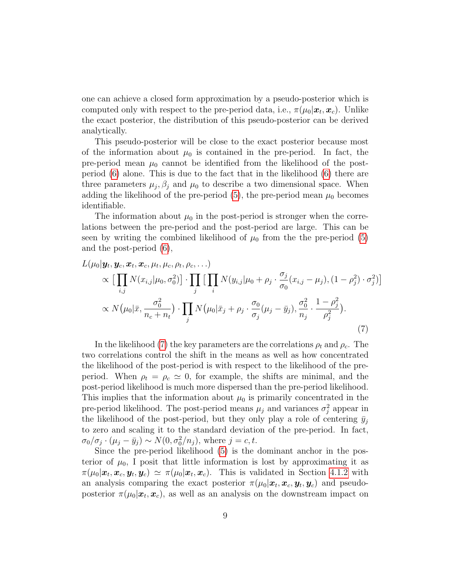one can achieve a closed form approximation by a pseudo-posterior which is computed only with respect to the pre-period data, i.e.,  $\pi(\mu_0|\mathbf{x}_t,\mathbf{x}_c)$ . Unlike the exact posterior, the distribution of this pseudo-posterior can be derived analytically.

This pseudo-posterior will be close to the exact posterior because most of the information about  $\mu_0$  is contained in the pre-period. In fact, the pre-period mean  $\mu_0$  cannot be identified from the likelihood of the postperiod [\(6\)](#page-6-1) alone. This is due to the fact that in the likelihood [\(6\)](#page-6-1) there are three parameters  $\mu_j$ ,  $\beta_j$  and  $\mu_0$  to describe a two dimensional space. When adding the likelihood of the pre-period [\(5\)](#page-6-2), the pre-period mean  $\mu_0$  becomes identifiable.

The information about  $\mu_0$  in the post-period is stronger when the correlations between the pre-period and the post-period are large. This can be seen by writing the combined likelihood of  $\mu_0$  from the the pre-period [\(5\)](#page-6-2) and the post-period [\(6\)](#page-6-1),

$$
L(\mu_0|\mathbf{y}_t, \mathbf{y}_c, \mathbf{x}_t, \mathbf{x}_c, \mu_t, \mu_c, \rho_t, \rho_c, \ldots)
$$
  
\n
$$
\propto \left[\prod_{i,j} N(x_{i,j}|\mu_0, \sigma_0^2)\right] \cdot \prod_j \left[\prod_i N(y_{i,j}|\mu_0 + \rho_j \cdot \frac{\sigma_j}{\sigma_0}(x_{i,j} - \mu_j), (1 - \rho_j^2) \cdot \sigma_j^2)\right]
$$
  
\n
$$
\propto N(\mu_0|\bar{x}, \frac{\sigma_0^2}{n_c + n_t}) \cdot \prod_j N(\mu_0|\bar{x}_j + \rho_j \cdot \frac{\sigma_0}{\sigma_j}(\mu_j - \bar{y}_j), \frac{\sigma_0^2}{n_j} \cdot \frac{1 - \rho_j^2}{\rho_j^2}).
$$
\n(7)

<span id="page-8-0"></span>In the likelihood [\(7\)](#page-8-0) the key parameters are the correlations  $\rho_t$  and  $\rho_c$ . The two correlations control the shift in the means as well as how concentrated the likelihood of the post-period is with respect to the likelihood of the preperiod. When  $\rho_t = \rho_c \simeq 0$ , for example, the shifts are minimal, and the post-period likelihood is much more dispersed than the pre-period likelihood. This implies that the information about  $\mu_0$  is primarily concentrated in the pre-period likelihood. The post-period means  $\mu_j$  and variances  $\sigma_j^2$  appear in the likelihood of the post-period, but they only play a role of centering  $\bar{y}_i$ to zero and scaling it to the standard deviation of the pre-period. In fact,  $\sigma_0/\sigma_j \cdot (\mu_j - \bar{y}_j) \sim N(0, \sigma_0^2/n_j)$ , where  $j = c, t$ .

Since the pre-period likelihood [\(5\)](#page-6-2) is the dominant anchor in the posterior of  $\mu_0$ , I posit that little information is lost by approximating it as  $\pi(\mu_0|\bm{x}_t,\bm{x}_c,\bm{y}_t,\bm{y}_c) \simeq \pi(\mu_0|\bm{x}_t,\bm{x}_c)$ . This is validated in Section [4.1.2](#page-12-0) with an analysis comparing the exact posterior  $\pi(\mu_0|\mathbf{x}_t, \mathbf{x}_c, \mathbf{y}_t, \mathbf{y}_c)$  and pseudoposterior  $\pi(\mu_0|\boldsymbol{x}_t,\boldsymbol{x}_c)$ , as well as an analysis on the downstream impact on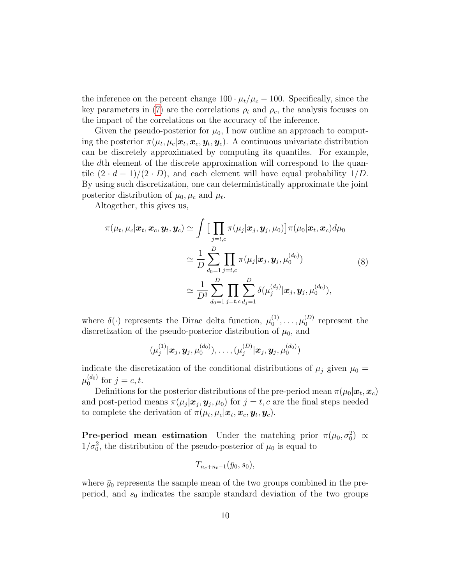the inference on the percent change  $100 \cdot \mu_t/\mu_c - 100$ . Specifically, since the key parameters in [\(7\)](#page-8-0) are the correlations  $\rho_t$  and  $\rho_c$ , the analysis focuses on the impact of the correlations on the accuracy of the inference.

Given the pseudo-posterior for  $\mu_0$ , I now outline an approach to computing the posterior  $\pi(\mu_t, \mu_c | \bm{x}_t, \bm{x}_c, \bm{y}_t, \bm{y}_c)$ . A continuous univariate distribution can be discretely approximated by computing its quantiles. For example, the dth element of the discrete approximation will correspond to the quantile  $(2 \cdot d - 1)/(2 \cdot D)$ , and each element will have equal probability  $1/D$ . By using such discretization, one can deterministically approximate the joint posterior distribution of  $\mu_0, \mu_c$  and  $\mu_t$ .

Altogether, this gives us,

$$
\pi(\mu_t, \mu_c | \boldsymbol{x}_t, \boldsymbol{x}_c, \boldsymbol{y}_t, \boldsymbol{y}_c) \simeq \int \Big[ \prod_{j=t,c} \pi(\mu_j | \boldsymbol{x}_j, \boldsymbol{y}_j, \mu_0) \Big] \pi(\mu_0 | \boldsymbol{x}_t, \boldsymbol{x}_c) d\mu_0
$$
  

$$
\simeq \frac{1}{D} \sum_{d_0=1}^D \prod_{j=t,c} \pi(\mu_j | \boldsymbol{x}_j, \boldsymbol{y}_j, \mu_0^{(d_0)})
$$
  

$$
\simeq \frac{1}{D^3} \sum_{d_0=1}^D \prod_{j=t,c}^D \sum_{d_j=1}^D \delta(\mu_j^{(d_j)} | \boldsymbol{x}_j, \boldsymbol{y}_j, \mu_0^{(d_0)}),
$$
 (8)

where  $\delta(\cdot)$  represents the Dirac delta function,  $\mu_0^{(1)}$  $\mu_0^{(1)}, \ldots, \mu_0^{(D)}$  $_0^{(D)}$  represent the discretization of the pseudo-posterior distribution of  $\mu_0$ , and

<span id="page-9-0"></span>
$$
(\mu_j^{(1)} | \bm{x}_j, \bm{y}_j, \mu_0^{(d_0)}), \ldots, (\mu_j^{(D)} | \bm{x}_j, \bm{y}_j, \mu_0^{(d_0)})
$$

indicate the discretization of the conditional distributions of  $\mu_j$  given  $\mu_0 =$  $\mu_0^{(d_0)}$  $j_{0}^{(a_{0})}$  for  $j = c, t$ .

Definitions for the posterior distributions of the pre-period mean  $\pi(\mu_0|\boldsymbol{x}_t,\boldsymbol{x}_c)$ and post-period means  $\pi(\mu_j|\mathbf{x}_j, \mathbf{y}_j, \mu_0)$  for  $j = t, c$  are the final steps needed to complete the derivation of  $\pi(\mu_t, \mu_c | \boldsymbol{x}_t, \boldsymbol{x}_c, \boldsymbol{y}_t, \boldsymbol{y}_c)$ .

**Pre-period mean estimation** Under the matching prior  $\pi(\mu_0, \sigma_0^2) \propto$  $1/\sigma_0^2$ , the distribution of the pseudo-posterior of  $\mu_0$  is equal to

$$
T_{n_c+n_t-1}(\bar{y}_0,s_0),
$$

where  $\bar{y}_0$  represents the sample mean of the two groups combined in the preperiod, and  $s_0$  indicates the sample standard deviation of the two groups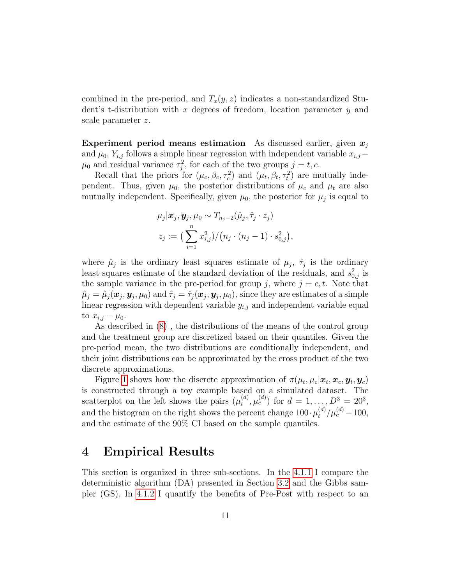combined in the pre-period, and  $T_x(y, z)$  indicates a non-standardized Student's t-distribution with x degrees of freedom, location parameter  $y$  and scale parameter z.

Experiment period means estimation As discussed earlier, given  $x_i$ and  $\mu_0$ ,  $Y_{i,j}$  follows a simple linear regression with independent variable  $x_{i,j}$  –  $\mu_0$  and residual variance  $\tau_j^2$ , for each of the two groups  $j = t, c$ .

Recall that the priors for  $(\mu_c, \beta_c, \tau_c^2)$  and  $(\mu_t, \beta_t, \tau_t^2)$  are mutually independent. Thus, given  $\mu_0$ , the posterior distributions of  $\mu_c$  and  $\mu_t$  are also mutually independent. Specifically, given  $\mu_0$ , the posterior for  $\mu_j$  is equal to

$$
\mu_j|\boldsymbol{x}_j, \boldsymbol{y}_j, \mu_0 \sim T_{n_j-2}(\hat{\mu}_j, \hat{\tau}_j \cdot z_j)
$$
  

$$
z_j := \big(\sum_{i=1}^n x_{i,j}^2\big) / \big(n_j \cdot (n_j - 1) \cdot s_{0,j}^2\big),
$$

where  $\hat{\mu}_j$  is the ordinary least squares estimate of  $\mu_j$ ,  $\hat{\tau}_j$  is the ordinary least squares estimate of the standard deviation of the residuals, and  $s_{0,j}^2$  is the sample variance in the pre-period for group j, where  $j = c, t$ . Note that  $\hat{\mu}_j = \hat{\mu}_j(\bm{x}_j,\bm{y}_j,\mu_0) \text{ and } \hat{\tau}_j = \hat{\tau}_j(\bm{x}_j,\bm{y}_j,\mu_0), \text{since they are estimates of a simple}$ linear regression with dependent variable  $y_{i,j}$  and independent variable equal to  $x_{i,j} - \mu_0$ .

As described in [\(8\)](#page-9-0) , the distributions of the means of the control group and the treatment group are discretized based on their quantiles. Given the pre-period mean, the two distributions are conditionally independent, and their joint distributions can be approximated by the cross product of the two discrete approximations.

Figure [1](#page-11-1) shows how the discrete approximation of  $\pi(\mu_t, \mu_c | \boldsymbol{x}_t, \boldsymbol{x}_c, \boldsymbol{y}_t, \boldsymbol{y}_c)$ is constructed through a toy example based on a simulated dataset. The scatterplot on the left shows the pairs  $(\mu_t^{(d)})$  $(t_d^{(d)}, \mu_c^{(d)})$  for  $d = 1, ..., D^3 = 20^3$ , and the histogram on the right shows the percent change  $100 \cdot \mu_t^{(d)} / \mu_c^{(d)} - 100$ , and the estimate of the 90% CI based on the sample quantiles.

# <span id="page-10-0"></span>4 Empirical Results

This section is organized in three sub-sections. In the [4.1.1](#page-12-1) I compare the deterministic algorithm (DA) presented in Section [3.2](#page-7-0) and the Gibbs sampler (GS). In [4.1.2](#page-12-0) I quantify the benefits of Pre-Post with respect to an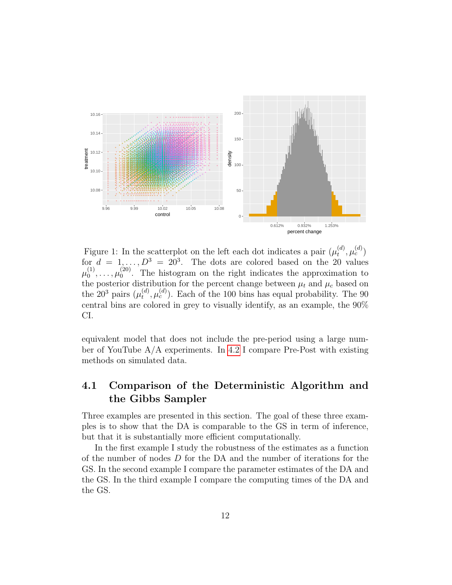

<span id="page-11-1"></span>Figure 1: In the scatterplot on the left each dot indicates a pair  $(\mu_t^{(d)})$  $_t^{(d)},\mu_c^{(d)})$ for  $d = 1, \ldots, D^3 = 20^3$ . The dots are colored based on the 20 values  $\mu_0^{(1)}$  $\stackrel{(1)}{0},\ldots,\mu_0^{(20)}$  $_0^{(20)}$ . The histogram on the right indicates the approximation to the posterior distribution for the percent change between  $\mu_t$  and  $\mu_c$  based on the 20<sup>3</sup> pairs  $(\mu_t^{(d)})$  $(t<sub>t</sub>, \mu<sub>c</sub><sup>(d)</sup>)$ . Each of the 100 bins has equal probability. The 90 central bins are colored in grey to visually identify, as an example, the 90% CI.

equivalent model that does not include the pre-period using a large number of YouTube A/A experiments. In [4.2](#page-14-1) I compare Pre-Post with existing methods on simulated data.

### <span id="page-11-0"></span>4.1 Comparison of the Deterministic Algorithm and the Gibbs Sampler

Three examples are presented in this section. The goal of these three examples is to show that the DA is comparable to the GS in term of inference, but that it is substantially more efficient computationally.

In the first example I study the robustness of the estimates as a function of the number of nodes D for the DA and the number of iterations for the GS. In the second example I compare the parameter estimates of the DA and the GS. In the third example I compare the computing times of the DA and the GS.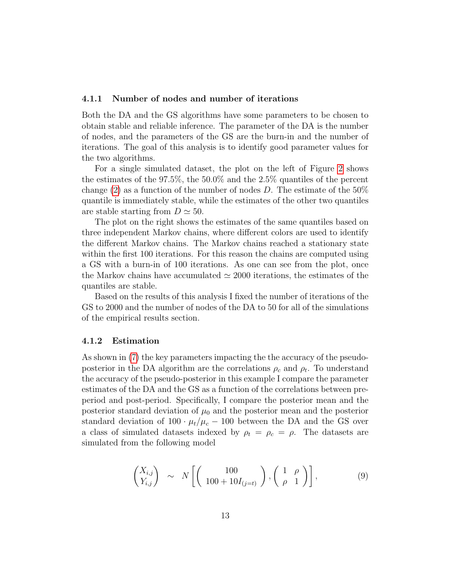#### <span id="page-12-1"></span>4.1.1 Number of nodes and number of iterations

Both the DA and the GS algorithms have some parameters to be chosen to obtain stable and reliable inference. The parameter of the DA is the number of nodes, and the parameters of the GS are the burn-in and the number of iterations. The goal of this analysis is to identify good parameter values for the two algorithms.

For a single simulated dataset, the plot on the left of Figure [2](#page-13-0) shows the estimates of the 97.5%, the 50.0% and the 2.5% quantiles of the percent change [\(2\)](#page-3-0) as a function of the number of nodes D. The estimate of the  $50\%$ quantile is immediately stable, while the estimates of the other two quantiles are stable starting from  $D \simeq 50$ .

The plot on the right shows the estimates of the same quantiles based on three independent Markov chains, where different colors are used to identify the different Markov chains. The Markov chains reached a stationary state within the first 100 iterations. For this reason the chains are computed using a GS with a burn-in of 100 iterations. As one can see from the plot, once the Markov chains have accumulated  $\simeq 2000$  iterations, the estimates of the quantiles are stable.

Based on the results of this analysis I fixed the number of iterations of the GS to 2000 and the number of nodes of the DA to 50 for all of the simulations of the empirical results section.

#### <span id="page-12-0"></span>4.1.2 Estimation

As shown in [\(7\)](#page-8-0) the key parameters impacting the the accuracy of the pseudoposterior in the DA algorithm are the correlations  $\rho_c$  and  $\rho_t$ . To understand the accuracy of the pseudo-posterior in this example I compare the parameter estimates of the DA and the GS as a function of the correlations between preperiod and post-period. Specifically, I compare the posterior mean and the posterior standard deviation of  $\mu_0$  and the posterior mean and the posterior standard deviation of  $100 \cdot \mu_t/\mu_c - 100$  between the DA and the GS over a class of simulated datasets indexed by  $\rho_t = \rho_c = \rho$ . The datasets are simulated from the following model

<span id="page-12-2"></span>
$$
\begin{pmatrix} X_{i,j} \\ Y_{i,j} \end{pmatrix} \sim N \left[ \begin{pmatrix} 100 \\ 100 + 10I_{(j=t)} \end{pmatrix}, \begin{pmatrix} 1 & \rho \\ \rho & 1 \end{pmatrix} \right],
$$
 (9)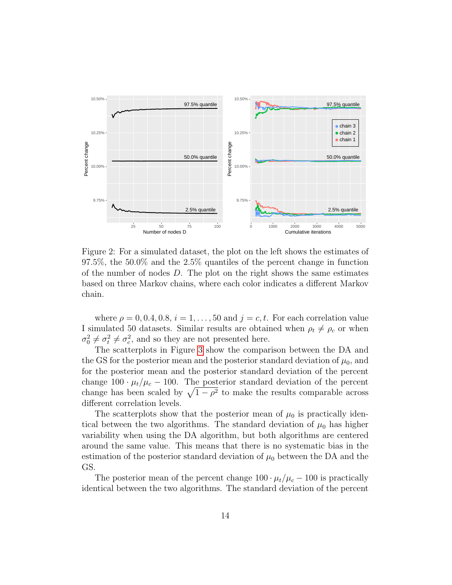

<span id="page-13-0"></span>Figure 2: For a simulated dataset, the plot on the left shows the estimates of 97.5%, the 50.0% and the 2.5% quantiles of the percent change in function of the number of nodes D. The plot on the right shows the same estimates based on three Markov chains, where each color indicates a different Markov chain.

where  $\rho = 0, 0.4, 0.8, i = 1, \ldots, 50$  and  $j = c, t$ . For each correlation value I simulated 50 datasets. Similar results are obtained when  $\rho_t \neq \rho_c$  or when  $\sigma_0^2 \neq \sigma_t^2 \neq \sigma_c^2$ , and so they are not presented here.

The scatterplots in Figure [3](#page-23-0) show the comparison between the DA and the GS for the posterior mean and the posterior standard deviation of  $\mu_0$ , and for the posterior mean and the posterior standard deviation of the percent change  $100 \cdot \mu_t/\mu_c - 100$ . The posterior standard deviation of the percent change has been scaled by  $\sqrt{1-\rho^2}$  to make the results comparable across different correlation levels.

The scatterplots show that the posterior mean of  $\mu_0$  is practically identical between the two algorithms. The standard deviation of  $\mu_0$  has higher variability when using the DA algorithm, but both algorithms are centered around the same value. This means that there is no systematic bias in the estimation of the posterior standard deviation of  $\mu_0$  between the DA and the GS.

The posterior mean of the percent change  $100 \cdot \mu_t/\mu_c - 100$  is practically identical between the two algorithms. The standard deviation of the percent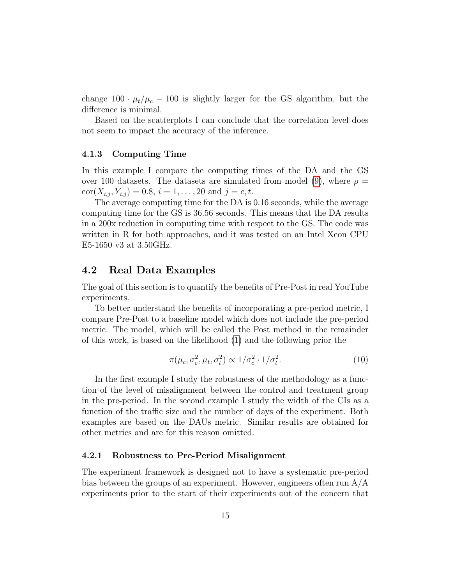change  $100 \cdot \mu_t/\mu_c - 100$  is slightly larger for the GS algorithm, but the difference is minimal.

Based on the scatterplots I can conclude that the correlation level does not seem to impact the accuracy of the inference.

#### 4.1.3 Computing Time

In this example I compare the computing times of the DA and the GS over 100 datasets. The datasets are simulated from model [\(9\)](#page-12-2), where  $\rho =$  $\text{cor}(X_{i,j}, Y_{i,j}) = 0.8, i = 1, \ldots, 20 \text{ and } j = c, t.$ 

The average computing time for the DA is 0.16 seconds, while the average computing time for the GS is 36.56 seconds. This means that the DA results in a 200x reduction in computing time with respect to the GS. The code was written in R for both approaches, and it was tested on an Intel Xeon CPU E5-1650 v3 at 3.50GHz.

### <span id="page-14-1"></span>4.2 Real Data Examples

The goal of this section is to quantify the benefits of Pre-Post in real YouTube experiments.

To better understand the benefits of incorporating a pre-period metric, I compare Pre-Post to a baseline model which does not include the pre-period metric. The model, which will be called the Post method in the remainder of this work, is based on the likelihood [\(1\)](#page-3-2) and the following prior the

<span id="page-14-0"></span>
$$
\pi(\mu_c, \sigma_c^2, \mu_t, \sigma_t^2) \propto 1/\sigma_c^2 \cdot 1/\sigma_t^2. \tag{10}
$$

In the first example I study the robustness of the methodology as a function of the level of misalignment between the control and treatment group in the pre-period. In the second example I study the width of the CIs as a function of the traffic size and the number of days of the experiment. Both examples are based on the DAUs metric. Similar results are obtained for other metrics and are for this reason omitted.

#### 4.2.1 Robustness to Pre-Period Misalignment

The experiment framework is designed not to have a systematic pre-period bias between the groups of an experiment. However, engineers often run  $A/A$ experiments prior to the start of their experiments out of the concern that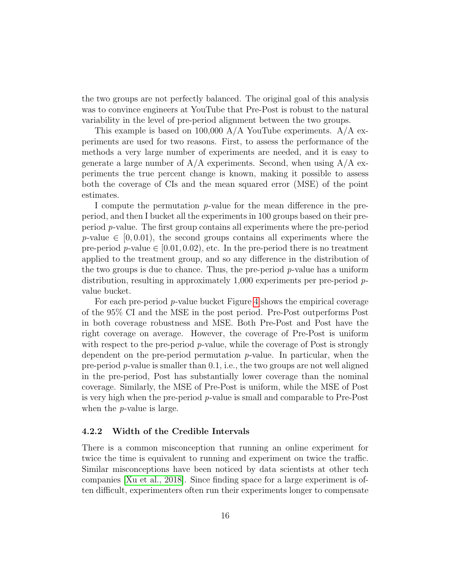the two groups are not perfectly balanced. The original goal of this analysis was to convince engineers at YouTube that Pre-Post is robust to the natural variability in the level of pre-period alignment between the two groups.

This example is based on 100,000  $A/A$  YouTube experiments.  $A/A$  experiments are used for two reasons. First, to assess the performance of the methods a very large number of experiments are needed, and it is easy to generate a large number of  $A/A$  experiments. Second, when using  $A/A$  experiments the true percent change is known, making it possible to assess both the coverage of CIs and the mean squared error (MSE) of the point estimates.

I compute the permutation  $p$ -value for the mean difference in the preperiod, and then I bucket all the experiments in 100 groups based on their preperiod p-value. The first group contains all experiments where the pre-period  $p$ -value  $\in$  [0,0.01], the second groups contains all experiments where the pre-period p-value  $\in [0.01, 0.02)$ , etc. In the pre-period there is no treatment applied to the treatment group, and so any difference in the distribution of the two groups is due to chance. Thus, the pre-period  $p$ -value has a uniform distribution, resulting in approximately 1,000 experiments per pre-period pvalue bucket.

For each pre-period p-value bucket Figure [4](#page-24-0) shows the empirical coverage of the 95% CI and the MSE in the post period. Pre-Post outperforms Post in both coverage robustness and MSE. Both Pre-Post and Post have the right coverage on average. However, the coverage of Pre-Post is uniform with respect to the pre-period  $p$ -value, while the coverage of Post is strongly dependent on the pre-period permutation  $p$ -value. In particular, when the pre-period p-value is smaller than 0.1, i.e., the two groups are not well aligned in the pre-period, Post has substantially lower coverage than the nominal coverage. Similarly, the MSE of Pre-Post is uniform, while the MSE of Post is very high when the pre-period p-value is small and comparable to Pre-Post when the p-value is large.

#### 4.2.2 Width of the Credible Intervals

There is a common misconception that running an online experiment for twice the time is equivalent to running and experiment on twice the traffic. Similar misconceptions have been noticed by data scientists at other tech companies [\[Xu et al., 2018\]](#page-22-2). Since finding space for a large experiment is often difficult, experimenters often run their experiments longer to compensate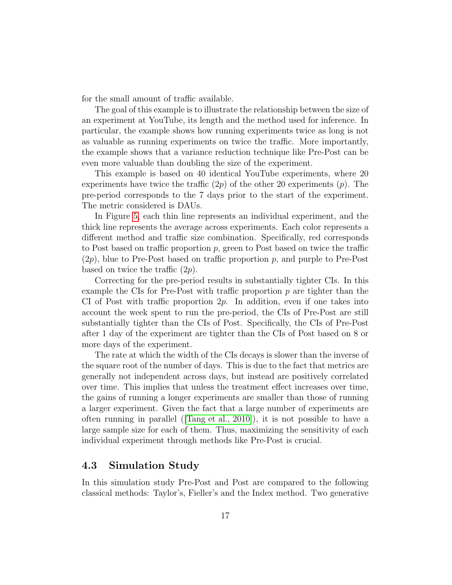for the small amount of traffic available.

The goal of this example is to illustrate the relationship between the size of an experiment at YouTube, its length and the method used for inference. In particular, the example shows how running experiments twice as long is not as valuable as running experiments on twice the traffic. More importantly, the example shows that a variance reduction technique like Pre-Post can be even more valuable than doubling the size of the experiment.

This example is based on 40 identical YouTube experiments, where 20 experiments have twice the traffic  $(2p)$  of the other 20 experiments  $(p)$ . The pre-period corresponds to the 7 days prior to the start of the experiment. The metric considered is DAUs.

In Figure [5,](#page-25-0) each thin line represents an individual experiment, and the thick line represents the average across experiments. Each color represents a different method and traffic size combination. Specifically, red corresponds to Post based on traffic proportion  $p$ , green to Post based on twice the traffic  $(2p)$ , blue to Pre-Post based on traffic proportion p, and purple to Pre-Post based on twice the traffic  $(2p)$ .

Correcting for the pre-period results in substantially tighter CIs. In this example the CIs for Pre-Post with traffic proportion  $p$  are tighter than the CI of Post with traffic proportion  $2p$ . In addition, even if one takes into account the week spent to run the pre-period, the CIs of Pre-Post are still substantially tighter than the CIs of Post. Specifically, the CIs of Pre-Post after 1 day of the experiment are tighter than the CIs of Post based on 8 or more days of the experiment.

The rate at which the width of the CIs decays is slower than the inverse of the square root of the number of days. This is due to the fact that metrics are generally not independent across days, but instead are positively correlated over time. This implies that unless the treatment effect increases over time, the gains of running a longer experiments are smaller than those of running a larger experiment. Given the fact that a large number of experiments are often running in parallel ([\[Tang et al., 2010\]](#page-22-3)), it is not possible to have a large sample size for each of them. Thus, maximizing the sensitivity of each individual experiment through methods like Pre-Post is crucial.

### 4.3 Simulation Study

In this simulation study Pre-Post and Post are compared to the following classical methods: Taylor's, Fieller's and the Index method. Two generative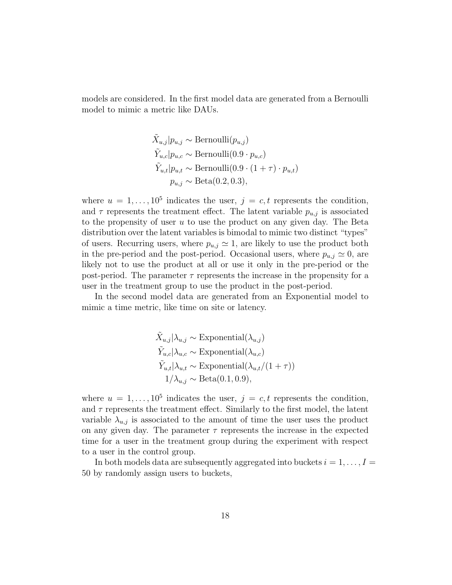models are considered. In the first model data are generated from a Bernoulli model to mimic a metric like DAUs.

$$
\tilde{X}_{u,j}|p_{u,j} \sim \text{Bernoulli}(p_{u,j})
$$
\n
$$
\tilde{Y}_{u,c}|p_{u,c} \sim \text{Bernoulli}(0.9 \cdot p_{u,c})
$$
\n
$$
\tilde{Y}_{u,t}|p_{u,t} \sim \text{Bernoulli}(0.9 \cdot (1 + \tau) \cdot p_{u,t})
$$
\n
$$
p_{u,j} \sim \text{Beta}(0.2, 0.3),
$$

where  $u = 1, \ldots, 10^5$  indicates the user,  $j = c, t$  represents the condition, and  $\tau$  represents the treatment effect. The latent variable  $p_{u,i}$  is associated to the propensity of user  $u$  to use the product on any given day. The Beta distribution over the latent variables is bimodal to mimic two distinct "types" of users. Recurring users, where  $p_{u,j} \simeq 1$ , are likely to use the product both in the pre-period and the post-period. Occasional users, where  $p_{u,j} \simeq 0$ , are likely not to use the product at all or use it only in the pre-period or the post-period. The parameter  $\tau$  represents the increase in the propensity for a user in the treatment group to use the product in the post-period.

In the second model data are generated from an Exponential model to mimic a time metric, like time on site or latency.

$$
\tilde{X}_{u,j}|\lambda_{u,j} \sim \text{Exponential}(\lambda_{u,j})
$$
\n
$$
\tilde{Y}_{u,c}|\lambda_{u,c} \sim \text{Exponential}(\lambda_{u,c})
$$
\n
$$
\tilde{Y}_{u,t}|\lambda_{u,t} \sim \text{Exponential}(\lambda_{u,t}/(1+\tau))
$$
\n
$$
1/\lambda_{u,j} \sim \text{Beta}(0.1, 0.9),
$$

where  $u = 1, \ldots, 10^5$  indicates the user,  $j = c, t$  represents the condition, and  $\tau$  represents the treatment effect. Similarly to the first model, the latent variable  $\lambda_{u,j}$  is associated to the amount of time the user uses the product on any given day. The parameter  $\tau$  represents the increase in the expected time for a user in the treatment group during the experiment with respect to a user in the control group.

In both models data are subsequently aggregated into buckets  $i = 1, \ldots, I =$ 50 by randomly assign users to buckets,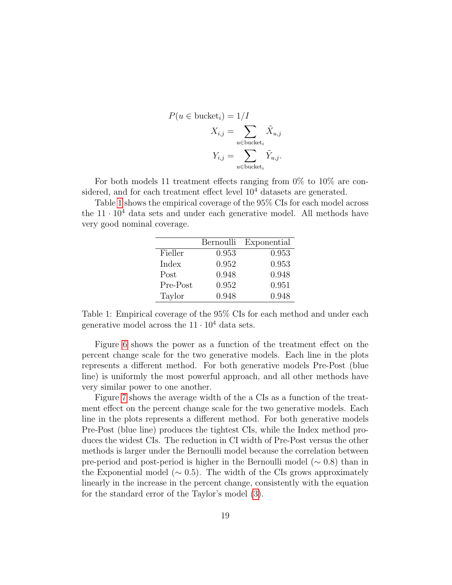$$
P(u \in \text{bucket}_i) = 1/I
$$
  

$$
X_{i,j} = \sum_{u \in \text{bucket}_i} \tilde{X}_{u,j}
$$
  

$$
Y_{i,j} = \sum_{u \in \text{bucket}_i} \tilde{Y}_{u,j}.
$$

For both models 11 treatment effects ranging from 0% to 10% are considered, and for each treatment effect level  $10<sup>4</sup>$  datasets are generated.

Table [1](#page-18-0) shows the empirical coverage of the 95% CIs for each model across the  $11 \cdot 10^4$  data sets and under each generative model. All methods have very good nominal coverage.

|          | Bernoulli | Exponential |
|----------|-----------|-------------|
| Fieller  | 0.953     | 0.953       |
| Index    | 0.952     | 0.953       |
| Post     | 0.948     | 0.948       |
| Pre-Post | 0.952     | 0.951       |
| Taylor   | 0.948     | 0.948       |

<span id="page-18-0"></span>Table 1: Empirical coverage of the 95% CIs for each method and under each generative model across the  $11 \cdot 10^4$  data sets.

Figure [6](#page-26-0) shows the power as a function of the treatment effect on the percent change scale for the two generative models. Each line in the plots represents a different method. For both generative models Pre-Post (blue line) is uniformly the most powerful approach, and all other methods have very similar power to one another.

Figure [7](#page-27-0) shows the average width of the a CIs as a function of the treatment effect on the percent change scale for the two generative models. Each line in the plots represents a different method. For both generative models Pre-Post (blue line) produces the tightest CIs, while the Index method produces the widest CIs. The reduction in CI width of Pre-Post versus the other methods is larger under the Bernoulli model because the correlation between pre-period and post-period is higher in the Bernoulli model (∼ 0.8) than in the Exponential model ( $\sim$  0.5). The width of the CIs grows approximately linearly in the increase in the percent change, consistently with the equation for the standard error of the Taylor's model [\(3\)](#page-4-1).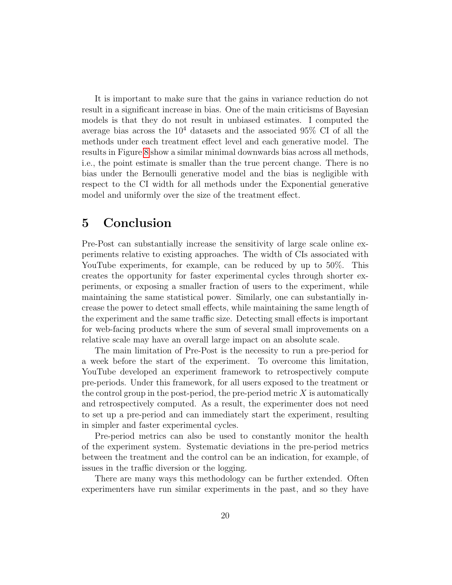It is important to make sure that the gains in variance reduction do not result in a significant increase in bias. One of the main criticisms of Bayesian models is that they do not result in unbiased estimates. I computed the average bias across the  $10^4$  datasets and the associated 95% CI of all the methods under each treatment effect level and each generative model. The results in Figure [8](#page-28-0) show a similar minimal downwards bias across all methods, i.e., the point estimate is smaller than the true percent change. There is no bias under the Bernoulli generative model and the bias is negligible with respect to the CI width for all methods under the Exponential generative model and uniformly over the size of the treatment effect.

### <span id="page-19-0"></span>5 Conclusion

Pre-Post can substantially increase the sensitivity of large scale online experiments relative to existing approaches. The width of CIs associated with YouTube experiments, for example, can be reduced by up to 50%. This creates the opportunity for faster experimental cycles through shorter experiments, or exposing a smaller fraction of users to the experiment, while maintaining the same statistical power. Similarly, one can substantially increase the power to detect small effects, while maintaining the same length of the experiment and the same traffic size. Detecting small effects is important for web-facing products where the sum of several small improvements on a relative scale may have an overall large impact on an absolute scale.

The main limitation of Pre-Post is the necessity to run a pre-period for a week before the start of the experiment. To overcome this limitation, YouTube developed an experiment framework to retrospectively compute pre-periods. Under this framework, for all users exposed to the treatment or the control group in the post-period, the pre-period metric  $X$  is automatically and retrospectively computed. As a result, the experimenter does not need to set up a pre-period and can immediately start the experiment, resulting in simpler and faster experimental cycles.

Pre-period metrics can also be used to constantly monitor the health of the experiment system. Systematic deviations in the pre-period metrics between the treatment and the control can be an indication, for example, of issues in the traffic diversion or the logging.

There are many ways this methodology can be further extended. Often experimenters have run similar experiments in the past, and so they have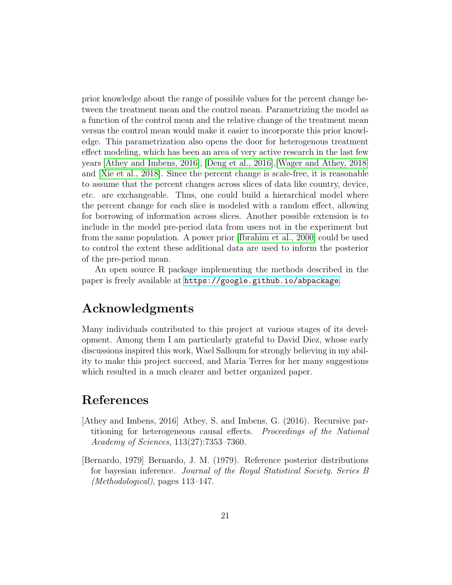prior knowledge about the range of possible values for the percent change between the treatment mean and the control mean. Parametrizing the model as a function of the control mean and the relative change of the treatment mean versus the control mean would make it easier to incorporate this prior knowledge. This parametrization also opens the door for heterogenous treatment effect modeling, which has been an area of very active research in the last few years [\[Athey and Imbens, 2016\]](#page-20-0), [\[Deng et al., 2016\]](#page-21-8),[\[Wager and Athey, 2018\]](#page-22-4) and [\[Xie et al., 2018\]](#page-22-5). Since the percent change is scale-free, it is reasonable to assume that the percent changes across slices of data like country, device, etc. are exchangeable. Thus, one could build a hierarchical model where the percent change for each slice is modeled with a random effect, allowing for borrowing of information across slices. Another possible extension is to include in the model pre-period data from users not in the experiment but from the same population. A power prior [\[Ibrahim et al., 2000\]](#page-21-9) could be used to control the extent these additional data are used to inform the posterior of the pre-period mean.

An open source R package implementing the methods described in the paper is freely available at <https://google.github.io/abpackage>.

# Acknowledgments

Many individuals contributed to this project at various stages of its development. Among them I am particularly grateful to David Diez, whose early discussions inspired this work, Wael Salloum for strongly believing in my ability to make this project succeed, and Maria Terres for her many suggestions which resulted in a much clearer and better organized paper.

# References

- <span id="page-20-0"></span>[Athey and Imbens, 2016] Athey, S. and Imbens, G. (2016). Recursive partitioning for heterogeneous causal effects. Proceedings of the National Academy of Sciences, 113(27):7353–7360.
- [Bernardo, 1979] Bernardo, J. M. (1979). Reference posterior distributions for bayesian inference. Journal of the Royal Statistical Society. Series B (Methodological), pages 113–147.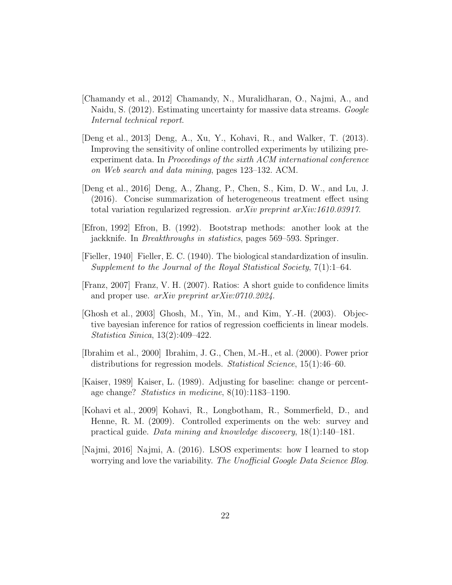- <span id="page-21-3"></span>[Chamandy et al., 2012] Chamandy, N., Muralidharan, O., Najmi, A., and Naidu, S. (2012). Estimating uncertainty for massive data streams. Google Internal technical report.
- <span id="page-21-0"></span>[Deng et al., 2013] Deng, A., Xu, Y., Kohavi, R., and Walker, T. (2013). Improving the sensitivity of online controlled experiments by utilizing preexperiment data. In Proceedings of the sixth ACM international conference on Web search and data mining, pages 123–132. ACM.
- <span id="page-21-8"></span>[Deng et al., 2016] Deng, A., Zhang, P., Chen, S., Kim, D. W., and Lu, J. (2016). Concise summarization of heterogeneous treatment effect using total variation regularized regression. arXiv preprint arXiv:1610.03917.
- <span id="page-21-4"></span>[Efron, 1992] Efron, B. (1992). Bootstrap methods: another look at the jackknife. In Breakthroughs in statistics, pages 569–593. Springer.
- <span id="page-21-5"></span>[Fieller, 1940] Fieller, E. C. (1940). The biological standardization of insulin. Supplement to the Journal of the Royal Statistical Society, 7(1):1–64.
- <span id="page-21-6"></span>[Franz, 2007] Franz, V. H. (2007). Ratios: A short guide to confidence limits and proper use. arXiv preprint arXiv:0710.2024.
- <span id="page-21-7"></span>[Ghosh et al., 2003] Ghosh, M., Yin, M., and Kim, Y.-H. (2003). Objective bayesian inference for ratios of regression coefficients in linear models. Statistica Sinica, 13(2):409–422.
- <span id="page-21-9"></span>[Ibrahim et al., 2000] Ibrahim, J. G., Chen, M.-H., et al. (2000). Power prior distributions for regression models. *Statistical Science*, 15(1):46–60.
- <span id="page-21-1"></span>[Kaiser, 1989] Kaiser, L. (1989). Adjusting for baseline: change or percentage change? Statistics in medicine, 8(10):1183–1190.
- <span id="page-21-2"></span>[Kohavi et al., 2009] Kohavi, R., Longbotham, R., Sommerfield, D., and Henne, R. M. (2009). Controlled experiments on the web: survey and practical guide. Data mining and knowledge discovery, 18(1):140–181.
- [Najmi, 2016] Najmi, A. (2016). LSOS experiments: how I learned to stop worrying and love the variability. The Unofficial Google Data Science Blog.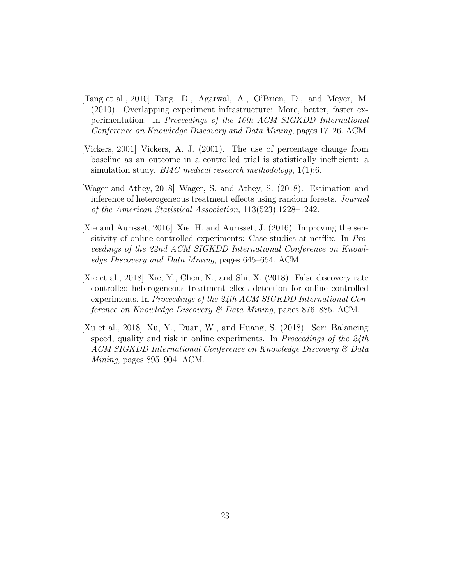- <span id="page-22-3"></span>[Tang et al., 2010] Tang, D., Agarwal, A., O'Brien, D., and Meyer, M. (2010). Overlapping experiment infrastructure: More, better, faster experimentation. In Proceedings of the 16th ACM SIGKDD International Conference on Knowledge Discovery and Data Mining, pages 17–26. ACM.
- <span id="page-22-1"></span>[Vickers, 2001] Vickers, A. J. (2001). The use of percentage change from baseline as an outcome in a controlled trial is statistically inefficient: a simulation study. *BMC medical research methodology*, 1(1):6.
- <span id="page-22-4"></span>[Wager and Athey, 2018] Wager, S. and Athey, S. (2018). Estimation and inference of heterogeneous treatment effects using random forests. Journal of the American Statistical Association, 113(523):1228–1242.
- <span id="page-22-0"></span>[Xie and Aurisset, 2016] Xie, H. and Aurisset, J. (2016). Improving the sensitivity of online controlled experiments: Case studies at netflix. In Proceedings of the 22nd ACM SIGKDD International Conference on Knowledge Discovery and Data Mining, pages 645–654. ACM.
- <span id="page-22-5"></span>[Xie et al., 2018] Xie, Y., Chen, N., and Shi, X. (2018). False discovery rate controlled heterogeneous treatment effect detection for online controlled experiments. In Proceedings of the 24th ACM SIGKDD International Conference on Knowledge Discovery  $\mathcal{B}$  Data Mining, pages 876–885. ACM.
- <span id="page-22-2"></span>[Xu et al., 2018] Xu, Y., Duan, W., and Huang, S. (2018). Sqr: Balancing speed, quality and risk in online experiments. In Proceedings of the  $24$ th ACM SIGKDD International Conference on Knowledge Discovery & Data Mining, pages 895–904. ACM.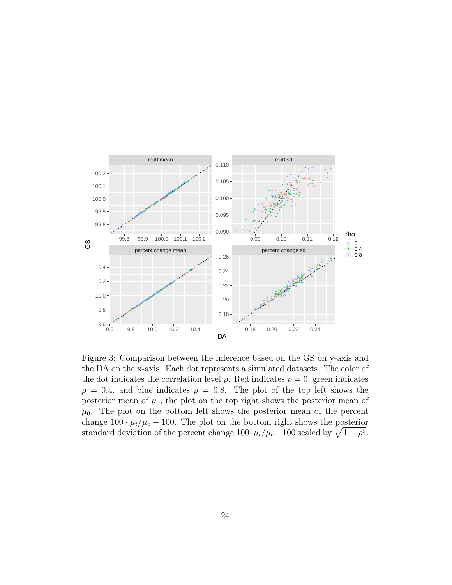![](_page_23_Figure_0.jpeg)

<span id="page-23-0"></span>Figure 3: Comparison between the inference based on the GS on y-axis and the DA on the x-axis. Each dot represents a simulated datasets. The color of the dot indicates the correlation level  $\rho$ . Red indicates  $\rho = 0$ , green indicates  $\rho = 0.4$ , and blue indicates  $\rho = 0.8$ . The plot of the top left shows the posterior mean of  $\mu_0$ , the plot on the top right shows the posterior mean of  $\mu_0$ . The plot on the bottom left shows the posterior mean of the percent change  $100 \cdot \mu_t/\mu_c - 100$ . The plot on the bottom right shows the posterior standard deviation of the percent change  $100 \cdot \mu_t/\mu_c - 100$  scaled by  $\sqrt{1 - \rho^2}$ .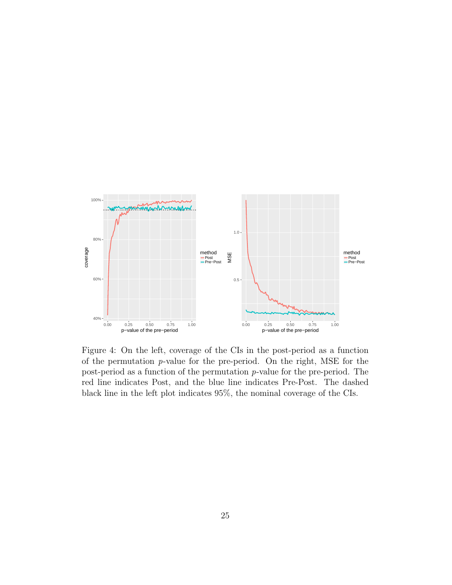![](_page_24_Figure_0.jpeg)

<span id="page-24-0"></span>Figure 4: On the left, coverage of the CIs in the post-period as a function of the permutation p-value for the pre-period. On the right, MSE for the post-period as a function of the permutation p-value for the pre-period. The red line indicates Post, and the blue line indicates Pre-Post. The dashed black line in the left plot indicates 95%, the nominal coverage of the CIs.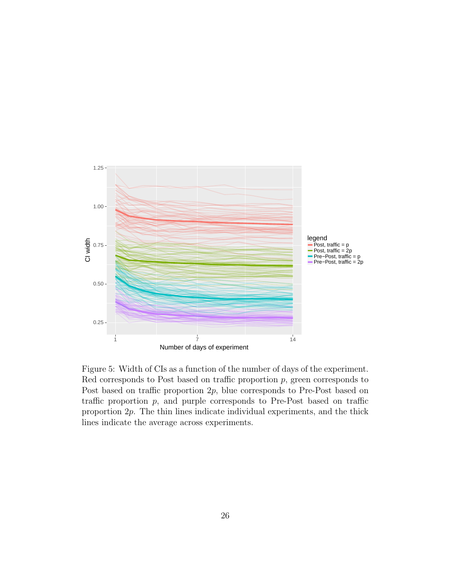![](_page_25_Figure_0.jpeg)

<span id="page-25-0"></span>Figure 5: Width of CIs as a function of the number of days of the experiment. Red corresponds to Post based on traffic proportion  $p$ , green corresponds to Post based on traffic proportion  $2p$ , blue corresponds to Pre-Post based on traffic proportion  $p$ , and purple corresponds to Pre-Post based on traffic proportion 2p. The thin lines indicate individual experiments, and the thick lines indicate the average across experiments.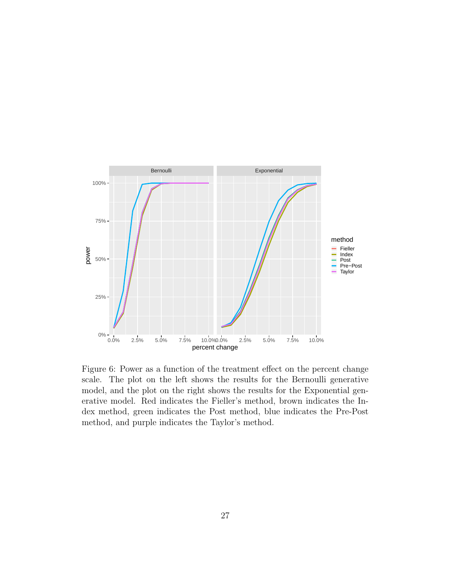![](_page_26_Figure_0.jpeg)

<span id="page-26-0"></span>Figure 6: Power as a function of the treatment effect on the percent change scale. The plot on the left shows the results for the Bernoulli generative model, and the plot on the right shows the results for the Exponential generative model. Red indicates the Fieller's method, brown indicates the Index method, green indicates the Post method, blue indicates the Pre-Post method, and purple indicates the Taylor's method.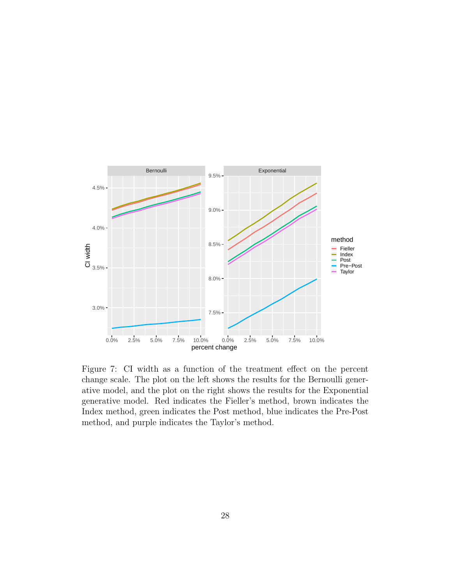![](_page_27_Figure_0.jpeg)

<span id="page-27-0"></span>Figure 7: CI width as a function of the treatment effect on the percent change scale. The plot on the left shows the results for the Bernoulli generative model, and the plot on the right shows the results for the Exponential generative model. Red indicates the Fieller's method, brown indicates the Index method, green indicates the Post method, blue indicates the Pre-Post method, and purple indicates the Taylor's method.